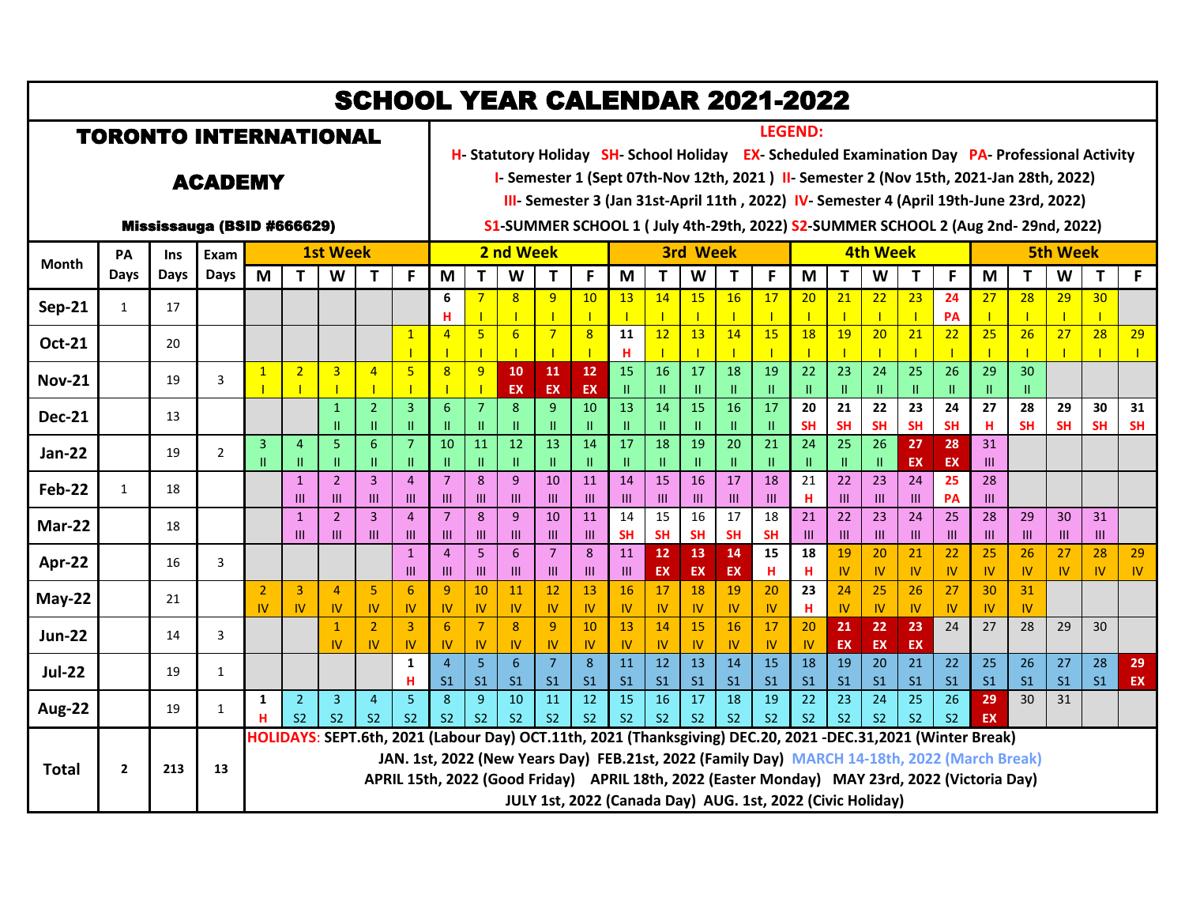| <b>SCHOOL YEAR CALENDAR 2021-2022</b> |                |      |                |                             |                                  |                                  |                                  |                                |                                  |                                                                                                                                                                                  |                                                                                                                   |                                  |                                 |                      |                      |                                 |                      |                                                                                                                                                                                                                                                                                                                                                                   |                                 |                              |                              |                              |                                 |                      |                      |                      |                      |                 |
|---------------------------------------|----------------|------|----------------|-----------------------------|----------------------------------|----------------------------------|----------------------------------|--------------------------------|----------------------------------|----------------------------------------------------------------------------------------------------------------------------------------------------------------------------------|-------------------------------------------------------------------------------------------------------------------|----------------------------------|---------------------------------|----------------------|----------------------|---------------------------------|----------------------|-------------------------------------------------------------------------------------------------------------------------------------------------------------------------------------------------------------------------------------------------------------------------------------------------------------------------------------------------------------------|---------------------------------|------------------------------|------------------------------|------------------------------|---------------------------------|----------------------|----------------------|----------------------|----------------------|-----------------|
| <b>TORONTO INTERNATIONAL</b>          |                |      |                |                             |                                  |                                  |                                  |                                |                                  |                                                                                                                                                                                  | <b>LEGEND:</b><br>H- Statutory Holiday SH- School Holiday EX- Scheduled Examination Day PA- Professional Activity |                                  |                                 |                      |                      |                                 |                      |                                                                                                                                                                                                                                                                                                                                                                   |                                 |                              |                              |                              |                                 |                      |                      |                      |                      |                 |
| <b>ACADEMY</b>                        |                |      |                |                             |                                  |                                  |                                  |                                |                                  | I-Semester 1 (Sept 07th-Nov 12th, 2021) II-Semester 2 (Nov 15th, 2021-Jan 28th, 2022)<br>III- Semester 3 (Jan 31st-April 11th, 2022) IV- Semester 4 (April 19th-June 23rd, 2022) |                                                                                                                   |                                  |                                 |                      |                      |                                 |                      |                                                                                                                                                                                                                                                                                                                                                                   |                                 |                              |                              |                              |                                 |                      |                      |                      |                      |                 |
| Mississauga (BSID #666629)            |                |      |                |                             |                                  |                                  |                                  |                                |                                  | S1-SUMMER SCHOOL 1 (July 4th-29th, 2022) S2-SUMMER SCHOOL 2 (Aug 2nd-29nd, 2022)                                                                                                 |                                                                                                                   |                                  |                                 |                      |                      |                                 |                      |                                                                                                                                                                                                                                                                                                                                                                   |                                 |                              |                              |                              |                                 |                      |                      |                      |                      |                 |
| <b>Month</b>                          | PA             | Ins  | Exam<br>Days   | <b>1st Week</b>             |                                  |                                  |                                  | 2 nd Week                      |                                  |                                                                                                                                                                                  |                                                                                                                   |                                  | <b>3rd Week</b>                 |                      |                      |                                 |                      | <b>4th Week</b>                                                                                                                                                                                                                                                                                                                                                   |                                 |                              |                              |                              | <b>5th Week</b>                 |                      |                      |                      |                      |                 |
|                                       | Days           | Days |                | M                           | T                                | W                                | Т                                | F                              | M                                | T                                                                                                                                                                                | W                                                                                                                 | т                                | F                               | M                    | T.                   | W                               | Т                    | F                                                                                                                                                                                                                                                                                                                                                                 | M                               | $\mathbf T$                  | W                            | Т                            | F                               | M                    | T.                   | W                    | T                    | F               |
| <b>Sep-21</b>                         | 1              | 17   |                |                             |                                  |                                  |                                  |                                | 6<br>н                           | $\overline{7}$                                                                                                                                                                   | 8<br>$\mathbf{I}$                                                                                                 | 9                                | 10<br>$\mathbf{I}$              | 13                   | 14                   | 15<br>$\mathbf{I}$              | 16                   | 17<br>$\mathbf{I}$                                                                                                                                                                                                                                                                                                                                                | 20                              | 21                           | 22<br>$\mathbf{I}$           | 23                           | 24<br>PA                        | 27<br>$\mathbf{I}$   | 28<br>$\mathbf{I}$   | 29                   | 30                   |                 |
| <b>Oct-21</b>                         |                | 20   |                |                             |                                  |                                  |                                  | $\mathbf{1}$                   | $\overline{4}$                   | 5 <sup>2</sup>                                                                                                                                                                   | 6                                                                                                                 | $\overline{7}$                   | $\overline{8}$<br>$\mathbf{I}$  | 11<br>H              | 12                   | 13<br>$\mathbf{I}$              | 14                   | 15<br>$\mathbf{I}$                                                                                                                                                                                                                                                                                                                                                | 18                              | 19                           | 20<br>$\mathbf{I}$           | 21                           | 22                              | 25                   | 26                   | 27                   | 28                   | 29              |
| <b>Nov-21</b>                         |                | 19   | 3              | $\mathbf{1}$                | $\overline{2}$                   | $\overline{3}$                   | $\overline{4}$                   | $\overline{5}$                 | 8                                | $\overline{9}$                                                                                                                                                                   | 10<br>EX                                                                                                          | 11<br><b>EX</b>                  | 12<br><b>EX</b>                 | 15<br>$\mathbf{H}$   | 16                   | $\overline{17}$<br>$\mathbf{H}$ | 18<br>Ш              | 19<br>$\mathbf{H}$                                                                                                                                                                                                                                                                                                                                                | 22<br>$\mathbf{H}$              | $\overline{23}$<br>H.        | 24<br>$\mathbf{H}$           | 25<br>Ш                      | $\overline{26}$<br>$\mathbf{H}$ | 29<br>Ш              | 30<br>п              |                      |                      |                 |
| <b>Dec-21</b>                         |                | 13   |                |                             |                                  | $\mathbf{1}$<br>$\mathbf{H}$     | $\overline{2}$<br>Ш              | 3<br>$\mathbf{H}$              | 6<br>Ш                           | $\overline{7}$<br>Ш                                                                                                                                                              | 8<br>$\mathbf{H}$                                                                                                 | 9<br>$\mathbf{H}$                | $\overline{10}$<br>$\mathbf{H}$ | $\overline{13}$      | $\overline{14}$      | $\overline{15}$<br>$\mathbf{H}$ | $\overline{16}$<br>Ш | $\overline{17}$<br>$\mathbf{H}$                                                                                                                                                                                                                                                                                                                                   | $\overline{20}$<br><b>SH</b>    | $\overline{21}$<br><b>SH</b> | $\overline{22}$<br><b>SH</b> | $\overline{23}$<br><b>SH</b> | $\overline{24}$<br><b>SH</b>    | 27<br>Н              | 28<br><b>SH</b>      | 29<br><b>SH</b>      | 30<br><b>SH</b>      | 31<br><b>SH</b> |
| <b>Jan-22</b>                         |                | 19   | $\overline{2}$ | 3                           | $\overline{4}$<br>П              | 5<br>Ш                           | $6\phantom{1}$<br>Ш.             | $\overline{7}$<br>$\mathbf{H}$ | 10<br>Ш                          | 11<br>Ш                                                                                                                                                                          | 12<br>$\mathbf{H}$                                                                                                | 13<br>Ш                          | 14<br>$\rm H$                   | 17                   | 18                   | 19<br>$\rm H$                   | 20<br>Ш              | 21<br>$\mathbf{H}$                                                                                                                                                                                                                                                                                                                                                | $\overline{24}$<br>$\mathbf{H}$ | 25<br>H.                     | 26<br>$\mathbf{H}$           | 27<br>EX                     | 28<br><b>EX</b>                 | 31<br>Ш              |                      |                      |                      |                 |
| <b>Feb-22</b>                         | $\mathbf{1}$   | 18   |                |                             | $\mathbf{1}$<br>Ш                | $\overline{2}$<br>$\mathbf{m}$   | $\overline{3}$<br>Ш              | $\overline{4}$<br>III          | $\overline{7}$<br>$\mathbf{III}$ | 8<br>III                                                                                                                                                                         | 9<br>$\mathbf{m}$                                                                                                 | 10<br>Ш                          | 11<br>III                       | 14<br>$\mathbf{m}$   | 15<br>III            | 16<br>III                       | 17<br>$\mathbf{III}$ | 18<br>III                                                                                                                                                                                                                                                                                                                                                         | 21<br>H                         | 22<br>$\mathbf{III}$         | 23<br>III                    | 24<br>$\mathbf{III}$         | 25<br>PA                        | 28<br>$\mathbf{m}$   |                      |                      |                      |                 |
| Mar-22                                |                | 18   |                |                             | $\mathbf{1}$                     | $\overline{2}$                   | $\overline{3}$                   | $\overline{4}$                 | $\overline{7}$                   | 8                                                                                                                                                                                | 9                                                                                                                 | 10                               | 11                              | 14<br><b>SH</b>      | $\overline{15}$      | 16<br><b>SH</b>                 | 17                   | 18<br><b>SH</b>                                                                                                                                                                                                                                                                                                                                                   | 21                              | 22                           | 23                           | 24                           | 25                              | 28                   | 29                   | 30                   | 31                   |                 |
|                                       |                |      |                |                             | Ш                                | Ш                                | Ш                                | III<br>$\mathbf{1}$            | $\mathbf{III}$<br>$\overline{4}$ | III<br>5                                                                                                                                                                         | $\mathbf{m}$<br>6                                                                                                 | Ш<br>$\overline{7}$              | III<br>8                        | 11                   | <b>SH</b><br>12      | 13                              | <b>SH</b><br>14      | 15                                                                                                                                                                                                                                                                                                                                                                | Ш<br>18                         | Ш<br>19                      | Ш<br>20                      | $\mathbf{III}$<br>21         | Ш<br>22                         | Ш<br>25              | Ш<br>26              | $\mathbf{III}$<br>27 | Ш<br>28              | 29              |
| Apr-22                                |                | 16   | 3              |                             |                                  |                                  |                                  | Ш                              | $\mathbf{III}$                   | III                                                                                                                                                                              | Ш                                                                                                                 | $\mathbf{m}$                     | III                             | $\mathbf{m}$         | EX                   | EX                              | EX                   | н                                                                                                                                                                                                                                                                                                                                                                 | H                               | IV                           | <b>IV</b>                    | IV                           | <b>IV</b>                       | IV                   | <b>IV</b>            | IV                   | <b>IV</b>            | <b>IV</b>       |
| $May-22$                              |                | 21   |                | $\overline{2}$<br><b>IV</b> | 3<br>$\mathsf{IV}$               | $\overline{4}$<br>IV             | 5<br>IV.                         | $6\overline{6}$<br><b>IV</b>   | $\overline{q}$<br>IV             | 10<br>IV.                                                                                                                                                                        | 11<br>IV.                                                                                                         | 12<br>IV                         | 13<br>$\mathsf{IV}$             | 16<br>IV             | 17<br>IV             | 18<br>IV.                       | 19<br>IV             | 20<br>$\mathsf{IV}$                                                                                                                                                                                                                                                                                                                                               | 23<br>н                         | 24<br>IV                     | 25<br><b>IV</b>              | 26<br>IV                     | 27<br><b>IV</b>                 | 30<br>IV             | 31<br>IV <sub></sub> |                      |                      |                 |
| <b>Jun-22</b>                         |                | 14   | 3              |                             |                                  | $\mathbf{1}$<br>IV               | $\overline{2}$<br>IV             | 3<br><b>IV</b>                 | 6<br>IV                          | $\overline{7}$<br>IV.                                                                                                                                                            | 8<br>IV.                                                                                                          | $\mathbf{q}$<br>IV               | 10<br>IV.                       | 13<br><b>IV</b>      | 14<br>IV             | 15<br>IV.                       | 16<br><b>IV</b>      | 17<br>IV.                                                                                                                                                                                                                                                                                                                                                         | 20<br>IV                        | 21<br>EX                     | 22<br>EX                     | 23<br>EX                     | 24                              | 27                   | 28                   | 29                   | 30                   |                 |
| <b>Jul-22</b>                         |                | 19   | $\mathbf{1}$   |                             |                                  |                                  |                                  | $\mathbf{1}$<br>н              | $\overline{4}$<br>S <sub>1</sub> | 5 <sup>5</sup><br>S <sub>1</sub>                                                                                                                                                 | 6<br>S <sub>1</sub>                                                                                               | $\overline{7}$<br>S <sub>1</sub> | 8<br>S <sub>1</sub>             | 11<br>S <sub>1</sub> | 12<br>S <sub>1</sub> | 13<br>S <sub>1</sub>            | 14<br>S <sub>1</sub> | 15<br>S <sub>1</sub>                                                                                                                                                                                                                                                                                                                                              | 18<br>S <sub>1</sub>            | 19<br>S <sub>1</sub>         | 20<br>S <sub>1</sub>         | 21<br>S <sub>1</sub>         | 22<br>S <sub>1</sub>            | 25<br>S <sub>1</sub> | 26<br>S <sub>1</sub> | 27<br>S <sub>1</sub> | 28<br>S <sub>1</sub> | 29<br><b>EX</b> |
| <b>Aug-22</b>                         |                | 19   | $\mathbf{1}$   | 1<br>н                      | $\overline{2}$<br>S <sub>2</sub> | $\overline{3}$<br>S <sub>2</sub> | $\overline{4}$<br>S <sub>2</sub> | 5<br>S <sub>2</sub>            | 8<br>S <sub>2</sub>              | 9<br>S <sub>2</sub>                                                                                                                                                              | 10<br>S <sub>2</sub>                                                                                              | 11<br>S <sub>2</sub>             | 12<br>S <sub>2</sub>            | 15<br>S <sub>2</sub> | 16<br>S <sub>2</sub> | 17<br>S <sub>2</sub>            | 18<br>S <sub>2</sub> | 19<br>S <sub>2</sub>                                                                                                                                                                                                                                                                                                                                              | 22<br>S <sub>2</sub>            | 23<br>S <sub>2</sub>         | 24<br>S <sub>2</sub>         | 25<br>S <sub>2</sub>         | 26<br>S <sub>2</sub>            | 29<br>EX             | 30                   | 31                   |                      |                 |
| <b>Total</b>                          | $\overline{2}$ | 213  | 13             |                             | <b>HOLIDAYS:</b>                 |                                  |                                  |                                |                                  |                                                                                                                                                                                  |                                                                                                                   |                                  |                                 |                      |                      |                                 |                      | SEPT.6th, 2021 (Labour Day) OCT.11th, 2021 (Thanksgiving) DEC.20, 2021 -DEC.31,2021 (Winter Break)<br>JAN. 1st, 2022 (New Years Day) FEB.21st, 2022 (Family Day) MARCH 14-18th, 2022 (March Break)<br>APRIL 15th, 2022 (Good Friday) APRIL 18th, 2022 (Easter Monday) MAY 23rd, 2022 (Victoria Day)<br>JULY 1st, 2022 (Canada Day) AUG. 1st, 2022 (Civic Holiday) |                                 |                              |                              |                              |                                 |                      |                      |                      |                      |                 |